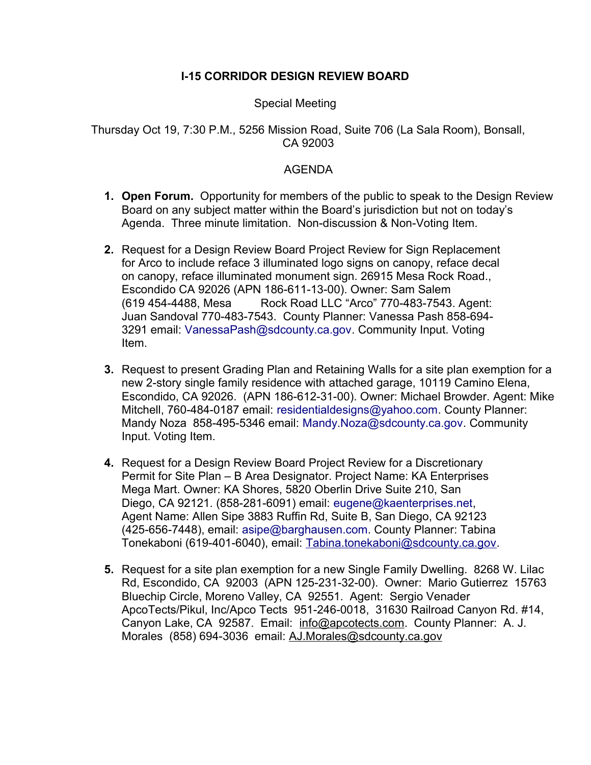## **I-15 CORRIDOR DESIGN REVIEW BOARD**

### Special Meeting

### Thursday Oct 19, 7:30 P.M., 5256 Mission Road, Suite 706 (La Sala Room), Bonsall, CA 92003

#### AGENDA

- **1. Open Forum.** Opportunity for members of the public to speak to the Design Review Board on any subject matter within the Board's jurisdiction but not on today's Agenda. Three minute limitation. Non-discussion & Non-Voting Item.
- **2.** Request for a Design Review Board Project Review for Sign Replacement for Arco to include reface 3 illuminated logo signs on canopy, reface decal on canopy, reface illuminated monument sign. 26915 Mesa Rock Road., Escondido CA 92026 (APN 186-611-13-00). Owner: Sam Salem (619 454-4488, Mesa Rock Road LLC "Arco" 770-483-7543. Agent: Juan Sandoval 770-483-7543. County Planner: Vanessa Pash 858-694- 3291 email: VanessaPash@sdcounty.ca.gov. Community Input. Voting Item.
- **3.** Request to present Grading Plan and Retaining Walls for a site plan exemption for a new 2-story single family residence with attached garage, 10119 Camino Elena, Escondido, CA 92026. (APN 186-612-31-00). Owner: Michael Browder. Agent: Mike Mitchell, 760-484-0187 email: residentialdesigns@yahoo.com. County Planner: Mandy Noza 858-495-5346 email: Mandy.Noza@sdcounty.ca.gov. Community Input. Voting Item.
- **4.** Request for a Design Review Board Project Review for a Discretionary Permit for Site Plan – B Area Designator. Project Name: KA Enterprises Mega Mart. Owner: KA Shores, 5820 Oberlin Drive Suite 210, San Diego, CA 92121. (858-281-6091) email: eugene@kaenterprises.net, Agent Name: Allen Sipe 3883 Ruffin Rd, Suite B, San Diego, CA 92123 (425-656-7448), email: asipe@barghausen.com. County Planner: Tabina Tonekaboni (619-401-6040), email: [Tabina.tonekaboni@sdcounty.ca.gov.](mailto:Tabina.tonekaboni@sdcounty.ca.gov)
- **5.** Request for a site plan exemption for a new Single Family Dwelling. 8268 W. Lilac Rd, Escondido, CA 92003 (APN 125-231-32-00). Owner: Mario Gutierrez 15763 Bluechip Circle, Moreno Valley, CA 92551. Agent: Sergio Venader ApcoTects/Pikul, Inc/Apco Tects 951-246-0018, 31630 Railroad Canyon Rd. #14, Canyon Lake, CA 92587. Email: [info@apcotects.com.](mailto:info@apcotects.com) County Planner: A. J. Morales (858) 694-3036 email: [AJ.Morales@sdcounty.ca.gov](mailto:AJ.Morales@sdcounty.ca.gov)